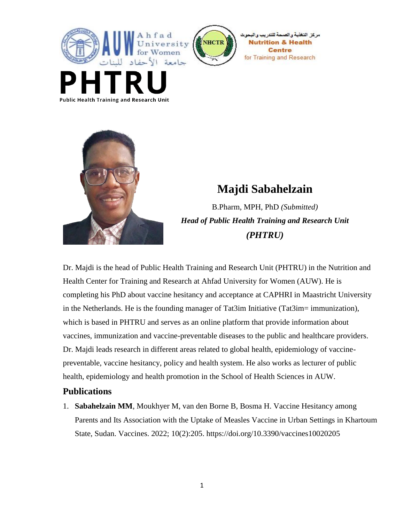



## **Majdi Sabahelzain**

**Nutrition & Health** 

**Centre** for Training and Research

B.Pharm, MPH, PhD *(Submitted) Head of Public Health Training and Research Unit (PHTRU)*

Dr. Majdi is the head of Public Health Training and Research Unit (PHTRU) in the Nutrition and Health Center for Training and Research at Ahfad University for Women (AUW). He is completing his PhD about vaccine hesitancy and acceptance at CAPHRI in Maastricht University in the Netherlands. He is the founding manager of Tat3im Initiative (Tat3im= immunization), which is based in PHTRU and serves as an online platform that provide information about vaccines, immunization and vaccine-preventable diseases to the public and healthcare providers. Dr. Majdi leads research in different areas related to global health, epidemiology of vaccinepreventable, vaccine hesitancy, policy and health system. He also works as lecturer of public health, epidemiology and health promotion in the School of Health Sciences in AUW.

## **Publications**

1. **Sabahelzain MM**, Moukhyer M, van den Borne B, Bosma H. Vaccine Hesitancy among Parents and Its Association with the Uptake of Measles Vaccine in Urban Settings in Khartoum State, Sudan. Vaccines. 2022; 10(2):205. https://doi.org/10.3390/vaccines10020205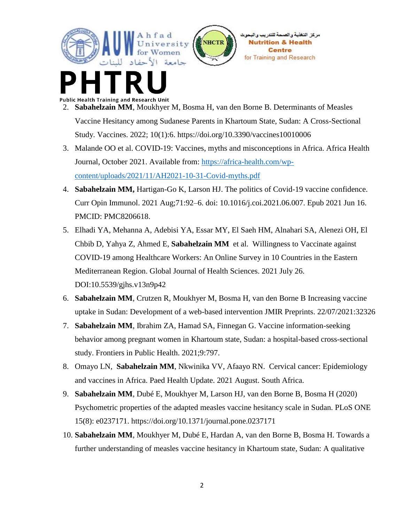





- 2. **Sabahelzain MM**, Moukhyer M, Bosma H, van den Borne B. Determinants of Measles Vaccine Hesitancy among Sudanese Parents in Khartoum State, Sudan: A Cross-Sectional Study. Vaccines. 2022; 10(1):6. https://doi.org/10.3390/vaccines10010006
- 3. Malande OO et al. COVID-19: Vaccines, myths and misconceptions in Africa. Africa Health Journal, October 2021. Available from: [https://africa-health.com/wp](https://africa-health.com/wp-content/uploads/2021/11/AH2021-10-31-Covid-myths.pdf)[content/uploads/2021/11/AH2021-10-31-Covid-myths.pdf](https://africa-health.com/wp-content/uploads/2021/11/AH2021-10-31-Covid-myths.pdf)
- 4. **Sabahelzain MM,** Hartigan-Go K, Larson HJ. The politics of Covid-19 vaccine confidence. Curr Opin Immunol. 2021 Aug;71:92–6. doi: 10.1016/j.coi.2021.06.007. Epub 2021 Jun 16. PMCID: PMC8206618.
- 5. Elhadi YA, Mehanna A, Adebisi YA, Essar MY, El Saeh HM, Alnahari SA, Alenezi OH, El Chbib D, Yahya Z, Ahmed E, **Sabahelzain MM** et al. Willingness to Vaccinate against COVID-19 among Healthcare Workers: An Online Survey in 10 Countries in the Eastern Mediterranean Region. Global Journal of Health Sciences. 2021 July 26. DOI:10.5539/gjhs.v13n9p42
- 6. **Sabahelzain MM**, Crutzen R, Moukhyer M, Bosma H, van den Borne B Increasing vaccine uptake in Sudan: Development of a web-based intervention JMIR Preprints. 22/07/2021:32326
- 7. **Sabahelzain MM**, Ibrahim ZA, Hamad SA, Finnegan G. Vaccine information-seeking behavior among pregnant women in Khartoum state, Sudan: a hospital-based cross-sectional study. Frontiers in Public Health. 2021;9:797.
- 8. Omayo LN, **Sabahelzain MM**, Nkwinika VV, Afaayo RN. Cervical cancer: Epidemiology and vaccines in Africa. Paed Health Update. 2021 August. South Africa.
- 9. **Sabahelzain MM**, Dubé E, Moukhyer M, Larson HJ, van den Borne B, Bosma H (2020) Psychometric properties of the adapted measles vaccine hesitancy scale in Sudan. PLoS ONE 15(8): e0237171. https://doi.org/10.1371/journal.pone.0237171
- 10. **Sabahelzain MM**, Moukhyer M, Dubé E, Hardan A, van den Borne B, Bosma H. Towards a further understanding of measles vaccine hesitancy in Khartoum state, Sudan: A qualitative